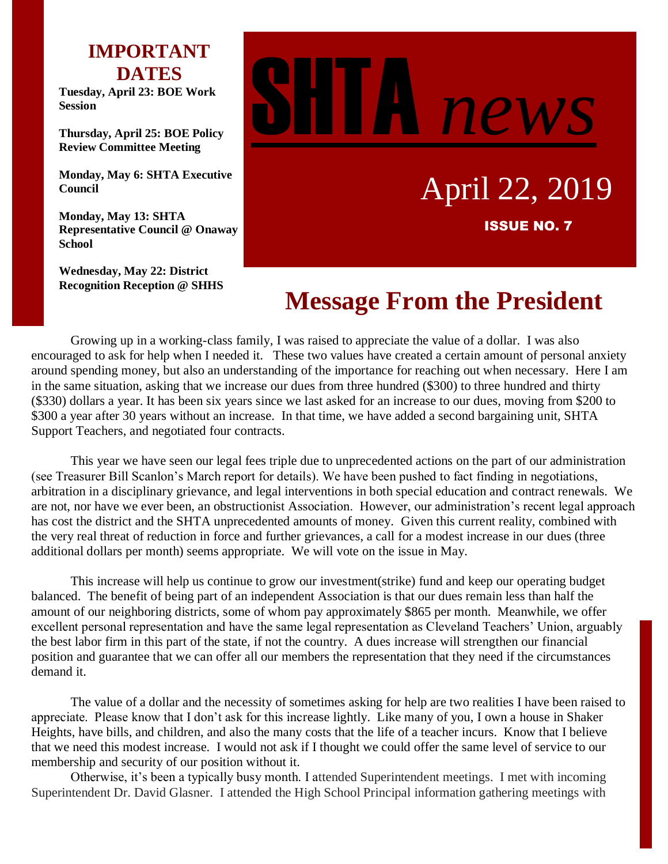## **IMPORTANT DATES**

**Tuesday, April 23: BOE Work Session**

**Thursday, April 25: BOE Policy Review Committee Meeting**

**Monday, May 6: SHTA Executive Council**

**Monday, May 13: SHTA Representative Council @ Onaway School**

**Wednesday, May 22: District Recognition Reception @ SHHS**



# April 22, 2019 ISSUE NO. 7

# **Message From the President**

Growing up in a working-class family, I was raised to appreciate the value of a dollar. I was also encouraged to ask for help when I needed it. These two values have created a certain amount of personal anxiety around spending money, but also an understanding of the importance for reaching out when necessary. Here I am in the same situation, asking that we increase our dues from three hundred (\$300) to three hundred and thirty (\$330) dollars a year. It has been six years since we last asked for an increase to our dues, moving from \$200 to \$300 a year after 30 years without an increase. In that time, we have added a second bargaining unit, SHTA Support Teachers, and negotiated four contracts.

This year we have seen our legal fees triple due to unprecedented actions on the part of our administration (see Treasurer Bill Scanlon's March report for details). We have been pushed to fact finding in negotiations, arbitration in a disciplinary grievance, and legal interventions in both special education and contract renewals. We are not, nor have we ever been, an obstructionist Association. However, our administration's recent legal approach has cost the district and the SHTA unprecedented amounts of money. Given this current reality, combined with the very real threat of reduction in force and further grievances, a call for a modest increase in our dues (three additional dollars per month) seems appropriate. We will vote on the issue in May.

This increase will help us continue to grow our investment(strike) fund and keep our operating budget balanced. The benefit of being part of an independent Association is that our dues remain less than half the amount of our neighboring districts, some of whom pay approximately \$865 per month. Meanwhile, we offer excellent personal representation and have the same legal representation as Cleveland Teachers' Union, arguably the best labor firm in this part of the state, if not the country. A dues increase will strengthen our financial position and guarantee that we can offer all our members the representation that they need if the circumstances demand it.

The value of a dollar and the necessity of sometimes asking for help are two realities I have been raised to appreciate. Please know that I don't ask for this increase lightly. Like many of you, I own a house in Shaker Heights, have bills, and children, and also the many costs that the life of a teacher incurs. Know that I believe that we need this modest increase. I would not ask if I thought we could offer the same level of service to our membership and security of our position without it.

Otherwise, it's been a typically busy month. I attended Superintendent meetings. I met with incoming Superintendent Dr. David Glasner. I attended the High School Principal information gathering meetings with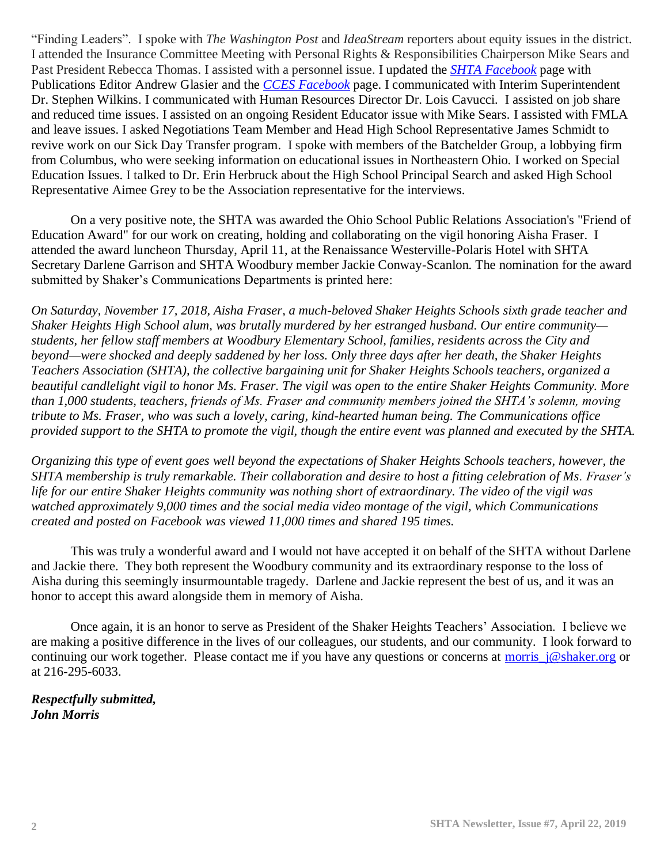"Finding Leaders". I spoke with *The Washington Post* and *IdeaStream* reporters about equity issues in the district. I attended the Insurance Committee Meeting with Personal Rights & Responsibilities Chairperson Mike Sears and Past President Rebecca Thomas. I assisted with a personnel issue. I updated the *[SHTA Facebook](https://www.facebook.com/Shaker-Heights-Teachers-Association-205703666106954/)* page with Publications Editor Andrew Glasier and the *[CCES Facebook](https://www.facebook.com/groups/CuyahogaEducators/)* page. I communicated with Interim Superintendent Dr. Stephen Wilkins. I communicated with Human Resources Director Dr. Lois Cavucci. I assisted on job share and reduced time issues. I assisted on an ongoing Resident Educator issue with Mike Sears. I assisted with FMLA and leave issues. I asked Negotiations Team Member and Head High School Representative James Schmidt to revive work on our Sick Day Transfer program. I spoke with members of the Batchelder Group, a lobbying firm from Columbus, who were seeking information on educational issues in Northeastern Ohio. I worked on Special Education Issues. I talked to Dr. Erin Herbruck about the High School Principal Search and asked High School Representative Aimee Grey to be the Association representative for the interviews.

On a very positive note, the SHTA was awarded the Ohio School Public Relations Association's "Friend of Education Award" for our work on creating, holding and collaborating on the vigil honoring Aisha Fraser. I attended the award luncheon Thursday, April 11, at the Renaissance Westerville-Polaris Hotel with SHTA Secretary Darlene Garrison and SHTA Woodbury member Jackie Conway-Scanlon. The nomination for the award submitted by Shaker's Communications Departments is printed here:

*On Saturday, November 17, 2018, Aisha Fraser, a much-beloved Shaker Heights Schools sixth grade teacher and Shaker Heights High School alum, was brutally murdered by her estranged husband. Our entire community students, her fellow staff members at Woodbury Elementary School, families, residents across the City and beyond—were shocked and deeply saddened by her loss. Only three days after her death, the Shaker Heights Teachers Association (SHTA), the collective bargaining unit for Shaker Heights Schools teachers, organized a beautiful candlelight vigil to honor Ms. Fraser. The vigil was open to the entire Shaker Heights Community. More than 1,000 students, teachers, friends of Ms. Fraser and community members joined the SHTA's solemn, moving tribute to Ms. Fraser, who was such a lovely, caring, kind-hearted human being. The Communications office provided support to the SHTA to promote the vigil, though the entire event was planned and executed by the SHTA.*

*Organizing this type of event goes well beyond the expectations of Shaker Heights Schools teachers, however, the SHTA membership is truly remarkable. Their collaboration and desire to host a fitting celebration of Ms. Fraser's life for our entire Shaker Heights community was nothing short of extraordinary. The video of the vigil was watched approximately 9,000 times and the social media video montage of the vigil, which Communications created and posted on Facebook was viewed 11,000 times and shared 195 times.*

This was truly a wonderful award and I would not have accepted it on behalf of the SHTA without Darlene and Jackie there. They both represent the Woodbury community and its extraordinary response to the loss of Aisha during this seemingly insurmountable tragedy. Darlene and Jackie represent the best of us, and it was an honor to accept this award alongside them in memory of Aisha.

Once again, it is an honor to serve as President of the Shaker Heights Teachers' Association. I believe we are making a positive difference in the lives of our colleagues, our students, and our community. I look forward to continuing our work together. Please contact me if you have any questions or concerns at [morris\\_j@shaker.org](mailto:morris_j@shaker.org) or at 216-295-6033.

*Respectfully submitted, John Morris*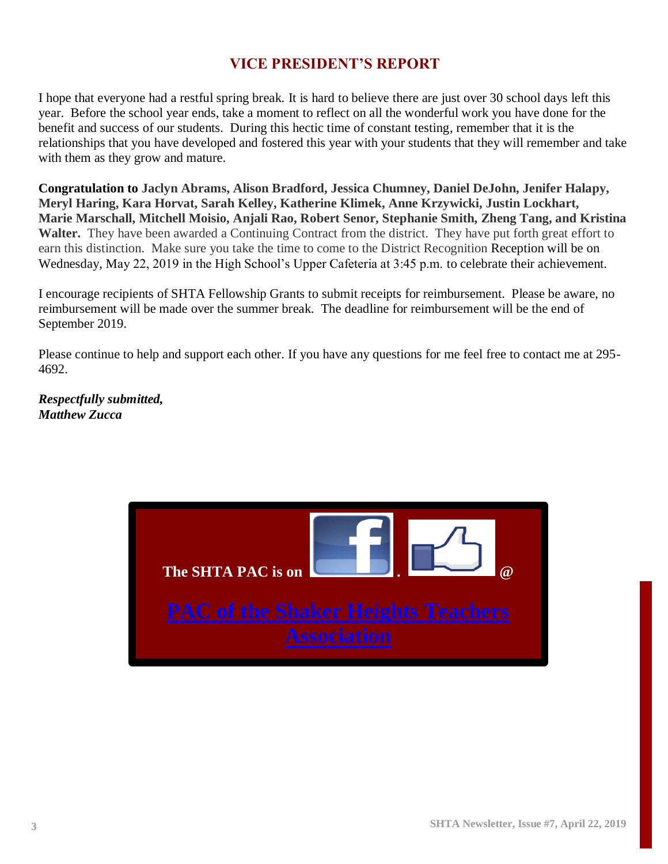## **VICE PRESIDENT'S REPORT**

I hope that everyone had a restful spring break. It is hard to believe there are just over 30 school days left this year. Before the school year ends, take a moment to reflect on all the wonderful work you have done for the benefit and success of our students. During this hectic time of constant testing, remember that it is the relationships that you have developed and fostered this year with your students that they will remember and take with them as they grow and mature.

**Congratulation to Jaclyn Abrams, Alison Bradford, Jessica Chumney, Daniel DeJohn, Jenifer Halapy, Meryl Haring, Kara Horvat, Sarah Kelley, Katherine Klimek, Anne Krzywicki, Justin Lockhart, Marie Marschall, Mitchell Moisio, Anjali Rao, Robert Senor, Stephanie Smith, Zheng Tang, and Kristina Walter.** They have been awarded a Continuing Contract from the district. They have put forth great effort to earn this distinction. Make sure you take the time to come to the District Recognition Reception will be on Wednesday, May 22, 2019 in the High School's Upper Cafeteria at 3:45 p.m. to celebrate their achievement.

I encourage recipients of SHTA Fellowship Grants to submit receipts for reimbursement. Please be aware, no reimbursement will be made over the summer break. The deadline for reimbursement will be the end of September 2019.

Please continue to help and support each other. If you have any questions for me feel free to contact me at 295- 4692.

*Respectfully submitted, Matthew Zucca*

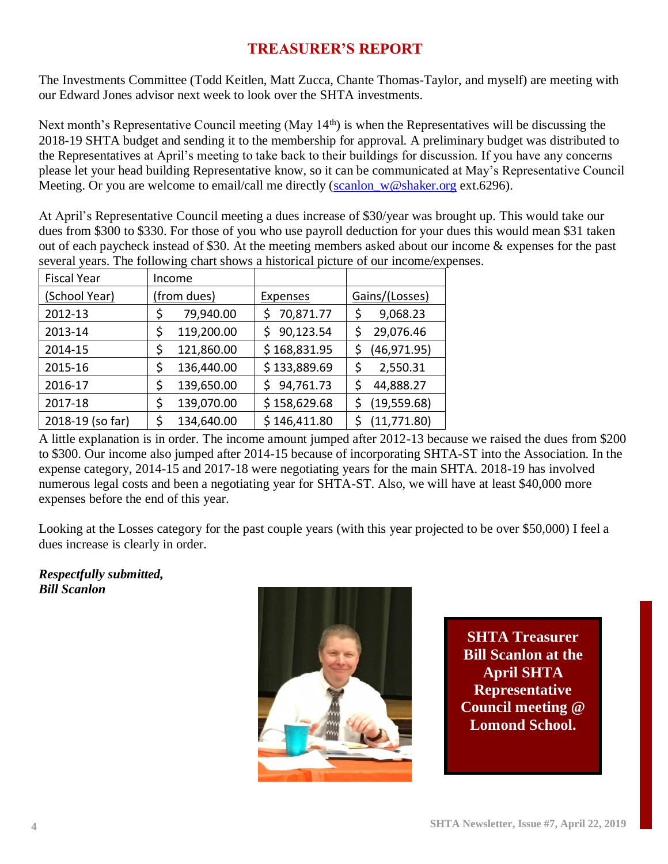## **TREASURER'S REPORT**

The Investments Committee (Todd Keitlen, Matt Zucca, Chante Thomas-Taylor, and myself) are meeting with our Edward Jones advisor next week to look over the SHTA investments.

Next month's Representative Council meeting (May 14<sup>th</sup>) is when the Representatives will be discussing the 2018-19 SHTA budget and sending it to the membership for approval. A preliminary budget was distributed to the Representatives at April's meeting to take back to their buildings for discussion. If you have any concerns please let your head building Representative know, so it can be communicated at May's Representative Council Meeting. Or you are welcome to email/call me directly ( $\frac{\text{scanlon}}{\text{w@shaker.org}}$  ext.6296).

At April's Representative Council meeting a dues increase of \$30/year was brought up. This would take our dues from \$300 to \$330. For those of you who use payroll deduction for your dues this would mean \$31 taken out of each paycheck instead of \$30. At the meeting members asked about our income & expenses for the past several years. The following chart shows a historical picture of our income/expenses.

| <b>Fiscal Year</b> | Income      |            |                 |                |
|--------------------|-------------|------------|-----------------|----------------|
| (School Year)      | (from dues) |            | <b>Expenses</b> | Gains/(Losses) |
| 2012-13            | \$          | 79,940.00  | 70,871.77       | 9,068.23       |
| 2013-14            | \$          | 119,200.00 | 90,123.54<br>S  | 29,076.46      |
| 2014-15            | \$          | 121,860.00 | \$168,831.95    | (46, 971.95)   |
| 2015-16            | \$          | 136,440.00 | \$133,889.69    | 2,550.31       |
| 2016-17            | \$          | 139,650.00 | 94,761.73<br>S  | 44,888.27      |
| 2017-18            | \$          | 139,070.00 | \$158,629.68    | (19, 559.68)   |
| 2018-19 (so far)   | \$          | 134,640.00 | \$146,411.80    | (11, 771.80)   |

A little explanation is in order. The income amount jumped after 2012-13 because we raised the dues from \$200 to \$300. Our income also jumped after 2014-15 because of incorporating SHTA-ST into the Association. In the expense category, 2014-15 and 2017-18 were negotiating years for the main SHTA. 2018-19 has involved numerous legal costs and been a negotiating year for SHTA-ST. Also, we will have at least \$40,000 more expenses before the end of this year.

Looking at the Losses category for the past couple years (with this year projected to be over \$50,000) I feel a dues increase is clearly in order.

*Respectfully submitted, Bill Scanlon*



**SHTA Treasurer Bill Scanlon at the April SHTA Representative Council meeting @ Lomond School.**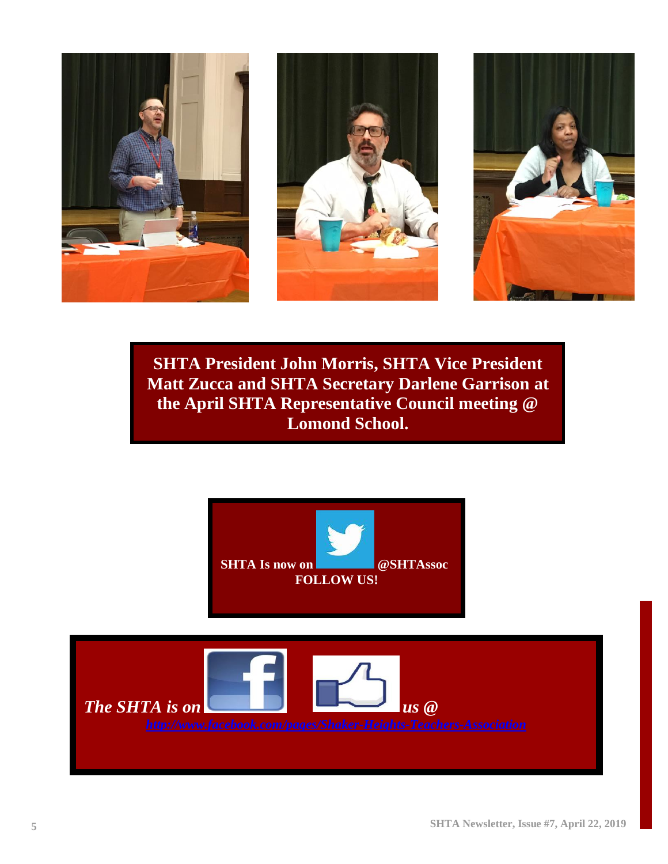





**SHTA President John Morris, SHTA Vice President Matt Zucca and SHTA Secretary Darlene Garrison at the April SHTA Representative Council meeting @ Lomond School.**

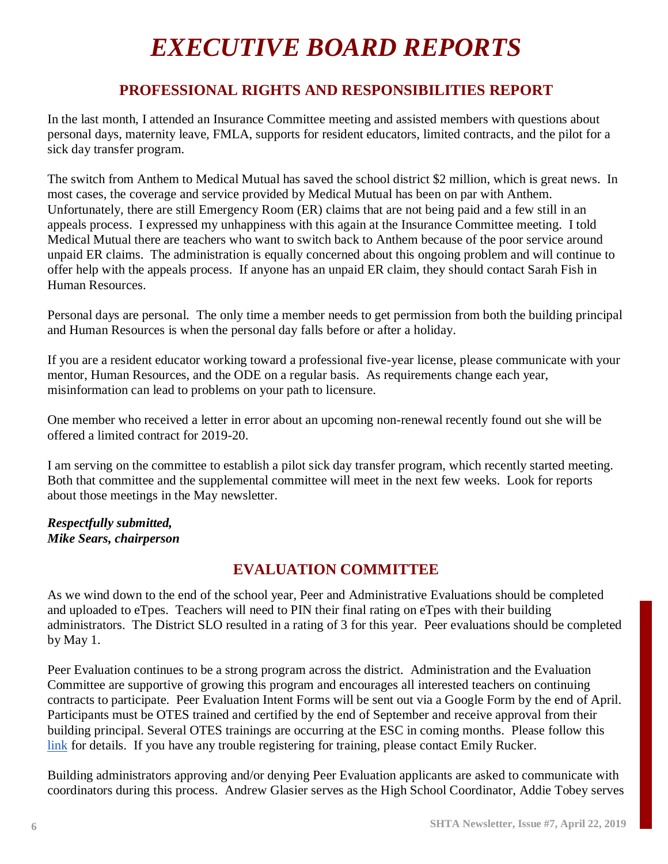# *EXECUTIVE BOARD REPORTS*

## **PROFESSIONAL RIGHTS AND RESPONSIBILITIES REPORT**

In the last month, I attended an Insurance Committee meeting and assisted members with questions about personal days, maternity leave, FMLA, supports for resident educators, limited contracts, and the pilot for a sick day transfer program.

The switch from Anthem to Medical Mutual has saved the school district \$2 million, which is great news. In most cases, the coverage and service provided by Medical Mutual has been on par with Anthem. Unfortunately, there are still Emergency Room (ER) claims that are not being paid and a few still in an appeals process. I expressed my unhappiness with this again at the Insurance Committee meeting. I told Medical Mutual there are teachers who want to switch back to Anthem because of the poor service around unpaid ER claims. The administration is equally concerned about this ongoing problem and will continue to offer help with the appeals process. If anyone has an unpaid ER claim, they should contact Sarah Fish in Human Resources.

Personal days are personal. The only time a member needs to get permission from both the building principal and Human Resources is when the personal day falls before or after a holiday.

If you are a resident educator working toward a professional five-year license, please communicate with your mentor, Human Resources, and the ODE on a regular basis. As requirements change each year, misinformation can lead to problems on your path to licensure.

One member who received a letter in error about an upcoming non-renewal recently found out she will be offered a limited contract for 2019-20.

I am serving on the committee to establish a pilot sick day transfer program, which recently started meeting. Both that committee and the supplemental committee will meet in the next few weeks. Look for reports about those meetings in the May newsletter.

#### *Respectfully submitted, Mike Sears, chairperson*

## **EVALUATION COMMITTEE**

As we wind down to the end of the school year, Peer and Administrative Evaluations should be completed and uploaded to eTpes. Teachers will need to PIN their final rating on eTpes with their building administrators. The District SLO resulted in a rating of 3 for this year. Peer evaluations should be completed by May 1.

Peer Evaluation continues to be a strong program across the district. Administration and the Evaluation Committee are supportive of growing this program and encourages all interested teachers on continuing contracts to participate. Peer Evaluation Intent Forms will be sent out via a Google Form by the end of April. Participants must be OTES trained and certified by the end of September and receive approval from their building principal. Several OTES trainings are occurring at the ESC in coming months. Please follow this link for details. If you have any trouble registering for training, please contact Emily Rucker.

Building administrators approving and/or denying Peer Evaluation applicants are asked to communicate with coordinators during this process. Andrew Glasier serves as the High School Coordinator, Addie Tobey serves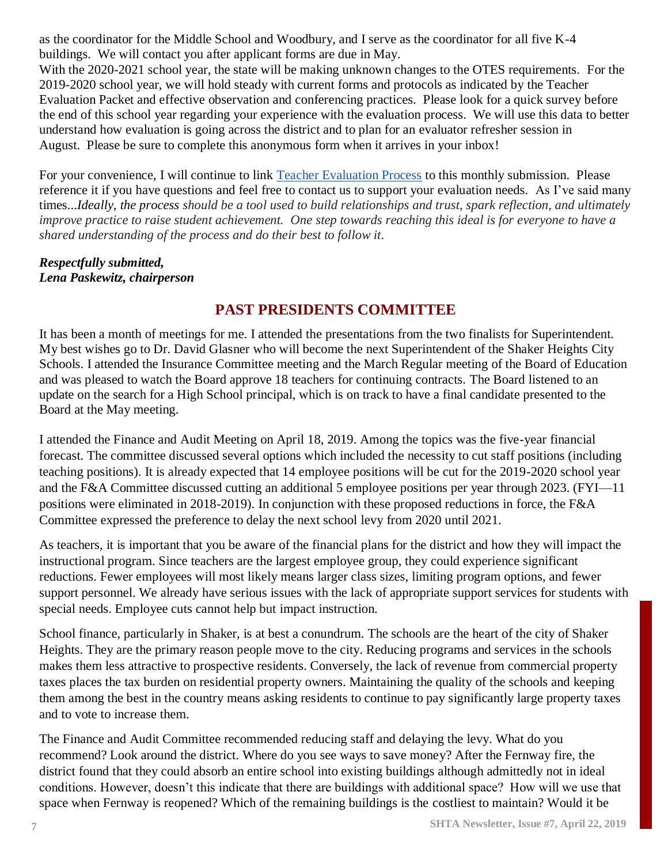as the coordinator for the Middle School and Woodbury, and I serve as the coordinator for all five K-4 buildings. We will contact you after applicant forms are due in May.

With the 2020-2021 school year, the state will be making unknown changes to the OTES requirements. For the 2019-2020 school year, we will hold steady with current forms and protocols as indicated by the Teacher Evaluation Packet and effective observation and conferencing practices. Please look for a quick survey before the end of this school year regarding your experience with the evaluation process. We will use this data to better understand how evaluation is going across the district and to plan for an evaluator refresher session in August. Please be sure to complete this anonymous form when it arrives in your inbox!

For your convenience, I will continue to link [Teacher Evaluation Process](https://drive.google.com/file/d/1sKr_Wg158CUZj_kForlnVHyDbV8Qd4C7/view) to this monthly submission. Please reference it if you have questions and feel free to contact us to support your evaluation needs. As I've said many times...*Ideally, the process should be a tool used to build relationships and trust, spark reflection, and ultimately improve practice to raise student achievement. One step towards reaching this ideal is for everyone to have a shared understanding of the process and do their best to follow it*.

#### *Respectfully submitted, Lena Paskewitz, chairperson*

## **PAST PRESIDENTS COMMITTEE**

It has been a month of meetings for me. I attended the presentations from the two finalists for Superintendent. My best wishes go to Dr. David Glasner who will become the next Superintendent of the Shaker Heights City Schools. I attended the Insurance Committee meeting and the March Regular meeting of the Board of Education and was pleased to watch the Board approve 18 teachers for continuing contracts. The Board listened to an update on the search for a High School principal, which is on track to have a final candidate presented to the Board at the May meeting.

I attended the Finance and Audit Meeting on April 18, 2019. Among the topics was the five-year financial forecast. The committee discussed several options which included the necessity to cut staff positions (including teaching positions). It is already expected that 14 employee positions will be cut for the 2019-2020 school year and the F&A Committee discussed cutting an additional 5 employee positions per year through 2023. (FYI—11 positions were eliminated in 2018-2019). In conjunction with these proposed reductions in force, the F&A Committee expressed the preference to delay the next school levy from 2020 until 2021.

As teachers, it is important that you be aware of the financial plans for the district and how they will impact the instructional program. Since teachers are the largest employee group, they could experience significant reductions. Fewer employees will most likely means larger class sizes, limiting program options, and fewer support personnel. We already have serious issues with the lack of appropriate support services for students with special needs. Employee cuts cannot help but impact instruction.

School finance, particularly in Shaker, is at best a conundrum. The schools are the heart of the city of Shaker Heights. They are the primary reason people move to the city. Reducing programs and services in the schools makes them less attractive to prospective residents. Conversely, the lack of revenue from commercial property taxes places the tax burden on residential property owners. Maintaining the quality of the schools and keeping them among the best in the country means asking residents to continue to pay significantly large property taxes and to vote to increase them.

The Finance and Audit Committee recommended reducing staff and delaying the levy. What do you recommend? Look around the district. Where do you see ways to save money? After the Fernway fire, the district found that they could absorb an entire school into existing buildings although admittedly not in ideal conditions. However, doesn't this indicate that there are buildings with additional space? How will we use that space when Fernway is reopened? Which of the remaining buildings is the costliest to maintain? Would it be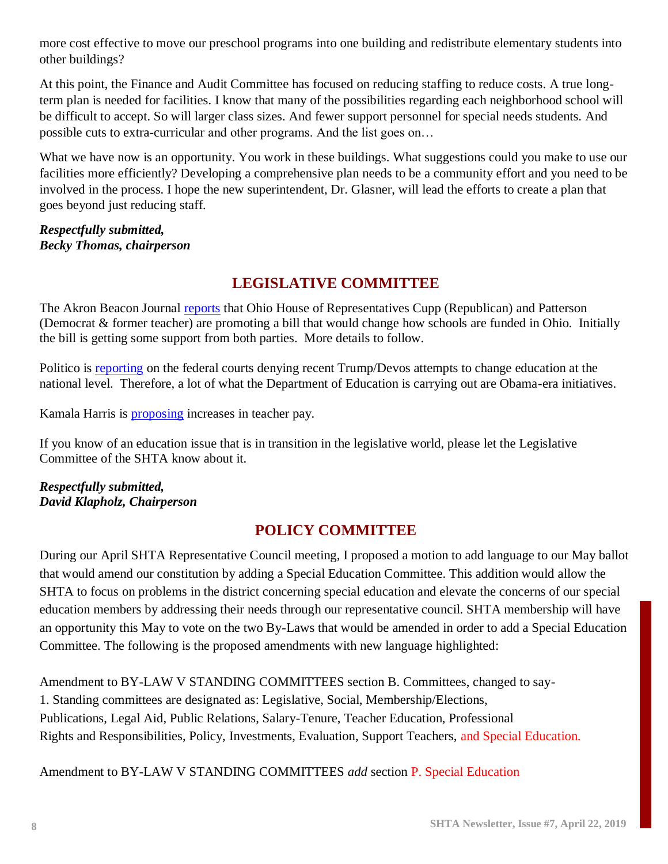more cost effective to move our preschool programs into one building and redistribute elementary students into other buildings?

At this point, the Finance and Audit Committee has focused on reducing staffing to reduce costs. A true longterm plan is needed for facilities. I know that many of the possibilities regarding each neighborhood school will be difficult to accept. So will larger class sizes. And fewer support personnel for special needs students. And possible cuts to extra-curricular and other programs. And the list goes on…

What we have now is an opportunity. You work in these buildings. What suggestions could you make to use our facilities more efficiently? Developing a comprehensive plan needs to be a community effort and you need to be involved in the process. I hope the new superintendent, Dr. Glasner, will lead the efforts to create a plan that goes beyond just reducing staff.

*Respectfully submitted, Becky Thomas, chairperson*

## **LEGISLATIVE COMMITTEE**

The Akron Beacon Journal [reports](https://www.ohio.com/news/20190408/wealthy-districts-would-gain-money-in-new-ohio-schools-plan/1) that Ohio House of Representatives Cupp (Republican) and Patterson (Democrat & former teacher) are promoting a bill that would change how schools are funded in Ohio. Initially the bill is getting some support from both parties. More details to follow.

Politico is [reporting](https://www.politico.com/story/2019/03/21/devos-roll-back-obama-policies-1288782) on the federal courts denying recent Trump/Devos attempts to change education at the national level. Therefore, a lot of what the Department of Education is carrying out are Obama-era initiatives.

Kamala Harris is [proposing](https://www.politico.com/story/2019/03/23/kamala-harris-teacher-pay-proposal-1233066) increases in teacher pay.

If you know of an education issue that is in transition in the legislative world, please let the Legislative Committee of the SHTA know about it.

#### *Respectfully submitted, David Klapholz, Chairperson*

## **POLICY COMMITTEE**

During our April SHTA Representative Council meeting, I proposed a motion to add language to our May ballot that would amend our constitution by adding a Special Education Committee. This addition would allow the SHTA to focus on problems in the district concerning special education and elevate the concerns of our special education members by addressing their needs through our representative council. SHTA membership will have an opportunity this May to vote on the two By-Laws that would be amended in order to add a Special Education Committee. The following is the proposed amendments with new language highlighted:

Amendment to BY-LAW V STANDING COMMITTEES section B. Committees, changed to say-1. Standing committees are designated as: Legislative, Social, Membership/Elections, Publications, Legal Aid, Public Relations, Salary-Tenure, Teacher Education, Professional Rights and Responsibilities, Policy, Investments, Evaluation, Support Teachers, and Special Education.

Amendment to BY-LAW V STANDING COMMITTEES *add* section P. Special Education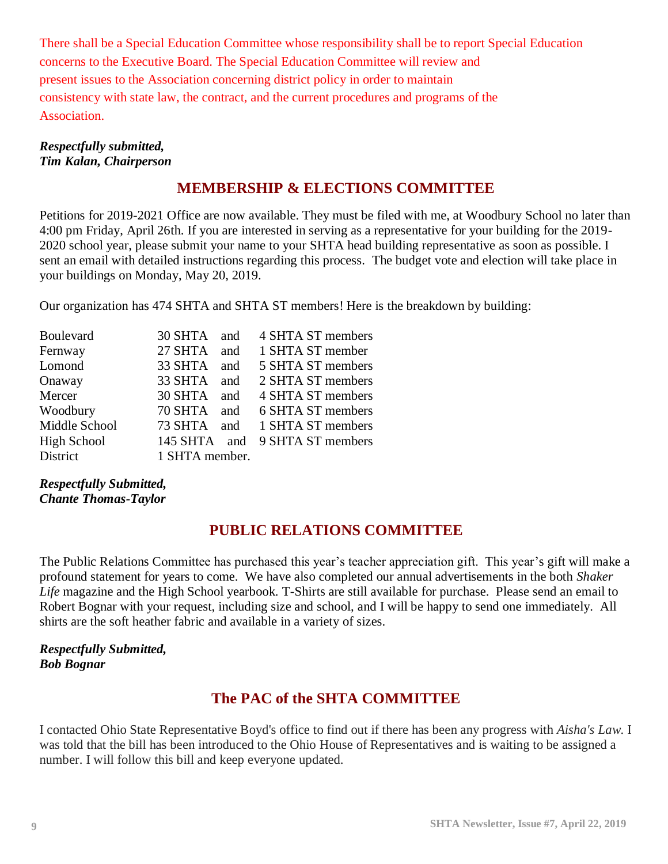There shall be a Special Education Committee whose responsibility shall be to report Special Education concerns to the Executive Board. The Special Education Committee will review and present issues to the Association concerning district policy in order to maintain consistency with state law, the contract, and the current procedures and programs of the Association.

#### *Respectfully submitted, Tim Kalan, Chairperson*

## **MEMBERSHIP & ELECTIONS COMMITTEE**

Petitions for 2019-2021 Office are now available. They must be filed with me, at Woodbury School no later than 4:00 pm Friday, April 26th. If you are interested in serving as a representative for your building for the 2019- 2020 school year, please submit your name to your SHTA head building representative as soon as possible. I sent an email with detailed instructions regarding this process. The budget vote and election will take place in your buildings on Monday, May 20, 2019.

Our organization has 474 SHTA and SHTA ST members! Here is the breakdown by building:

| Boulevard          | 30 SHTA        | and | 4 SHTA ST members |
|--------------------|----------------|-----|-------------------|
| Fernway            | 27 SHTA        | and | 1 SHTA ST member  |
| Lomond             | 33 SHTA        | and | 5 SHTA ST members |
| Onaway             | 33 SHTA        | and | 2 SHTA ST members |
| Mercer             | 30 SHTA        | and | 4 SHTA ST members |
| Woodbury           | 70 SHTA        | and | 6 SHTA ST members |
| Middle School      | 73 SHTA        | and | 1 SHTA ST members |
| <b>High School</b> | 145 SHTA and   |     | 9 SHTA ST members |
| <b>District</b>    | 1 SHTA member. |     |                   |

#### *Respectfully Submitted, Chante Thomas-Taylor*

## **PUBLIC RELATIONS COMMITTEE**

The Public Relations Committee has purchased this year's teacher appreciation gift. This year's gift will make a profound statement for years to come. We have also completed our annual advertisements in the both *Shaker Life* magazine and the High School yearbook. T-Shirts are still available for purchase. Please send an email to Robert Bognar with your request, including size and school, and I will be happy to send one immediately. All shirts are the soft heather fabric and available in a variety of sizes.

#### *Respectfully Submitted, Bob Bognar*

## **The PAC of the SHTA COMMITTEE**

I contacted Ohio State Representative Boyd's office to find out if there has been any progress with *Aisha's Law*. I was told that the bill has been introduced to the Ohio House of Representatives and is waiting to be assigned a number. I will follow this bill and keep everyone updated.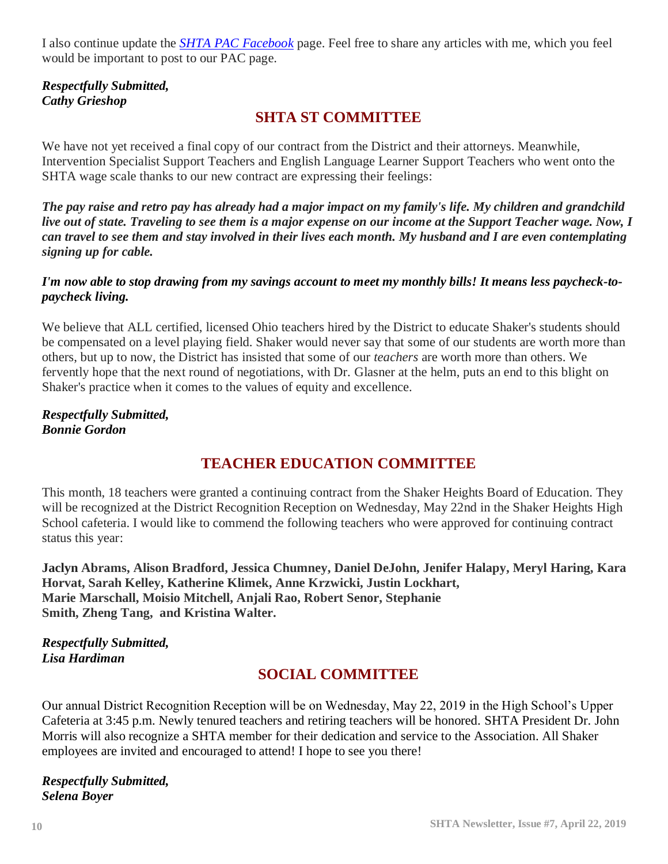I also continue update the *[SHTA PAC Facebook](https://www.facebook.com/pg/PAC-of-Shaker-Teacher-Association-143877709008822/posts/)* page. Feel free to share any articles with me, which you feel would be important to post to our PAC page.

### *Respectfully Submitted, Cathy Grieshop*

## **SHTA ST COMMITTEE**

We have not yet received a final copy of our contract from the District and their attorneys. Meanwhile, Intervention Specialist Support Teachers and English Language Learner Support Teachers who went onto the SHTA wage scale thanks to our new contract are expressing their feelings:

*The pay raise and retro pay has already had a major impact on my family's life. My children and grandchild live out of state. Traveling to see them is a major expense on our income at the Support Teacher wage. Now, I can travel to see them and stay involved in their lives each month. My husband and I are even contemplating signing up for cable.* 

#### *I'm now able to stop drawing from my savings account to meet my monthly bills! It means less paycheck-topaycheck living.*

We believe that ALL certified, licensed Ohio teachers hired by the District to educate Shaker's students should be compensated on a level playing field. Shaker would never say that some of our students are worth more than others, but up to now, the District has insisted that some of our *teachers* are worth more than others. We fervently hope that the next round of negotiations, with Dr. Glasner at the helm, puts an end to this blight on Shaker's practice when it comes to the values of equity and excellence.

#### *Respectfully Submitted, Bonnie Gordon*

## **TEACHER EDUCATION COMMITTEE**

This month, 18 teachers were granted a continuing contract from the Shaker Heights Board of Education. They will be recognized at the District Recognition Reception on Wednesday, May 22nd in the Shaker Heights High School cafeteria. I would like to commend the following teachers who were approved for continuing contract status this year:

**Jaclyn Abrams, Alison Bradford, Jessica Chumney, Daniel DeJohn, Jenifer Halapy, Meryl Haring, Kara Horvat, Sarah Kelley, Katherine Klimek, Anne Krzwicki, Justin Lockhart, Marie Marschall, Moisio Mitchell, Anjali Rao, Robert Senor, Stephanie Smith, Zheng Tang, and Kristina Walter.**

*Respectfully Submitted, Lisa Hardiman*

## **SOCIAL COMMITTEE**

Our annual District Recognition Reception will be on Wednesday, May 22, 2019 in the High School's Upper Cafeteria at 3:45 p.m. Newly tenured teachers and retiring teachers will be honored. SHTA President Dr. John Morris will also recognize a SHTA member for their dedication and service to the Association. All Shaker employees are invited and encouraged to attend! I hope to see you there!

*Respectfully Submitted, Selena Boyer*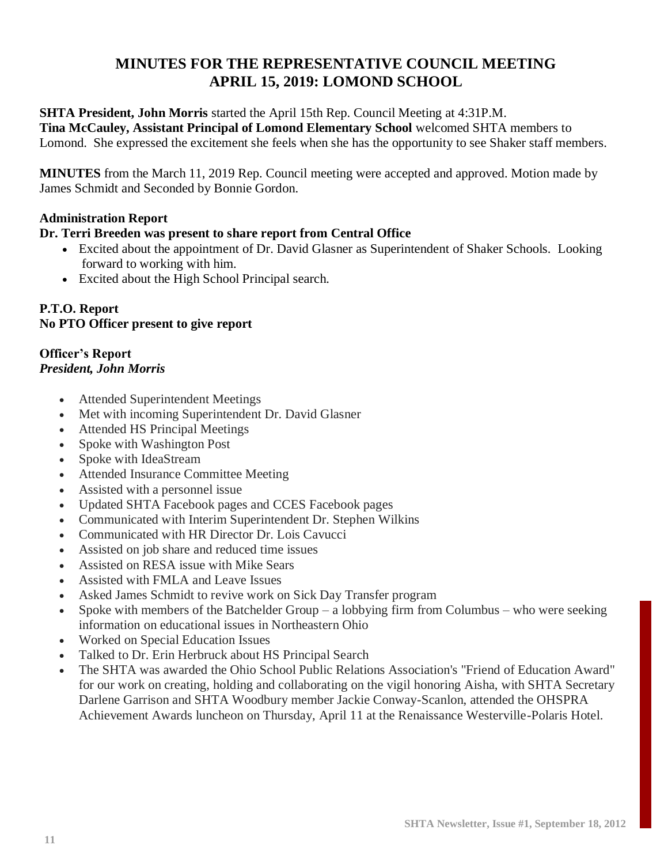## **MINUTES FOR THE REPRESENTATIVE COUNCIL MEETING APRIL 15, 2019: LOMOND SCHOOL**

**SHTA President, John Morris** started the April 15th Rep. Council Meeting at 4:31P.M. **Tina McCauley, Assistant Principal of Lomond Elementary School** welcomed SHTA members to Lomond. She expressed the excitement she feels when she has the opportunity to see Shaker staff members.

**MINUTES** from the March 11, 2019 Rep. Council meeting were accepted and approved. Motion made by James Schmidt and Seconded by Bonnie Gordon.

#### **Administration Report**

#### **Dr. Terri Breeden was present to share report from Central Office**

- Excited about the appointment of Dr. David Glasner as Superintendent of Shaker Schools. Looking forward to working with him.
- Excited about the High School Principal search.

#### **P.T.O. Report No PTO Officer present to give report**

#### **Officer's Report** *President, John Morris*

- Attended Superintendent Meetings
- Met with incoming Superintendent Dr. David Glasner
- Attended HS Principal Meetings
- Spoke with Washington Post
- Spoke with IdeaStream
- Attended Insurance Committee Meeting
- Assisted with a personnel issue
- Updated SHTA Facebook pages and CCES Facebook pages
- Communicated with Interim Superintendent Dr. Stephen Wilkins
- Communicated with HR Director Dr. Lois Cavucci
- Assisted on job share and reduced time issues
- Assisted on RESA issue with Mike Sears
- Assisted with FMLA and Leave Issues
- Asked James Schmidt to revive work on Sick Day Transfer program
- Spoke with members of the Batchelder Group a lobbying firm from Columbus who were seeking information on educational issues in Northeastern Ohio
- Worked on Special Education Issues
- Talked to Dr. Erin Herbruck about HS Principal Search
- The SHTA was awarded the Ohio School Public Relations Association's "Friend of Education Award" for our work on creating, holding and collaborating on the vigil honoring Aisha, with SHTA Secretary Darlene Garrison and SHTA Woodbury member Jackie Conway-Scanlon, attended the OHSPRA Achievement Awards luncheon on Thursday, April 11 at the Renaissance Westerville-Polaris Hotel.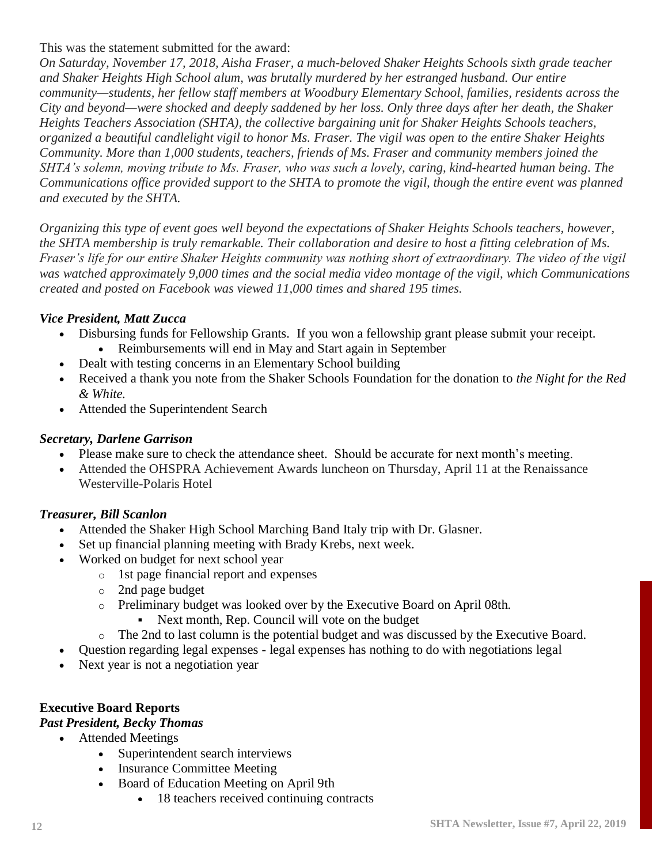This was the statement submitted for the award:

*On Saturday, November 17, 2018, Aisha Fraser, a much-beloved Shaker Heights Schools sixth grade teacher and Shaker Heights High School alum, was brutally murdered by her estranged husband. Our entire community—students, her fellow staff members at Woodbury Elementary School, families, residents across the City and beyond—were shocked and deeply saddened by her loss. Only three days after her death, the Shaker Heights Teachers Association (SHTA), the collective bargaining unit for Shaker Heights Schools teachers, organized a beautiful candlelight vigil to honor Ms. Fraser. The vigil was open to the entire Shaker Heights Community. More than 1,000 students, teachers, friends of Ms. Fraser and community members joined the SHTA's solemn, moving tribute to Ms. Fraser, who was such a lovely, caring, kind-hearted human being. The Communications office provided support to the SHTA to promote the vigil, though the entire event was planned and executed by the SHTA.*

*Organizing this type of event goes well beyond the expectations of Shaker Heights Schools teachers, however, the SHTA membership is truly remarkable. Their collaboration and desire to host a fitting celebration of Ms. Fraser's life for our entire Shaker Heights community was nothing short of extraordinary. The video of the vigil was watched approximately 9,000 times and the social media video montage of the vigil, which Communications created and posted on Facebook was viewed 11,000 times and shared 195 times.*

#### *Vice President, Matt Zucca*

- Disbursing funds for Fellowship Grants. If you won a fellowship grant please submit your receipt.
	- Reimbursements will end in May and Start again in September
- Dealt with testing concerns in an Elementary School building
- Received a thank you note from the Shaker Schools Foundation for the donation to *the Night for the Red & White.*
- Attended the Superintendent Search

#### *Secretary, Darlene Garrison*

- Please make sure to check the attendance sheet. Should be accurate for next month's meeting.
- Attended the OHSPRA Achievement Awards luncheon on Thursday, April 11 at the Renaissance Westerville-Polaris Hotel

#### *Treasurer, Bill Scanlon*

- Attended the Shaker High School Marching Band Italy trip with Dr. Glasner.
- Set up financial planning meeting with Brady Krebs, next week.
- Worked on budget for next school year
	- o 1st page financial report and expenses
	- o 2nd page budget
	- o Preliminary budget was looked over by the Executive Board on April 08th.
		- Next month, Rep. Council will vote on the budget
	- o The 2nd to last column is the potential budget and was discussed by the Executive Board.
- Question regarding legal expenses legal expenses has nothing to do with negotiations legal
- Next year is not a negotiation year

#### **Executive Board Reports**

#### *Past President, Becky Thomas*

- Attended Meetings
	- Superintendent search interviews
	- Insurance Committee Meeting
	- Board of Education Meeting on April 9th
		- 18 teachers received continuing contracts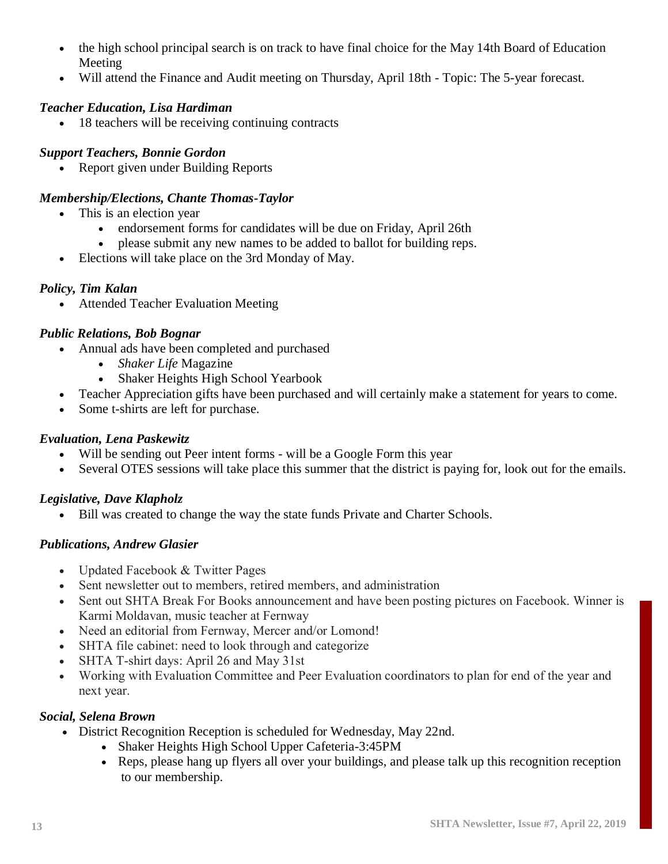- the high school principal search is on track to have final choice for the May 14th Board of Education Meeting
- Will attend the Finance and Audit meeting on Thursday, April 18th Topic: The 5-year forecast.

#### *Teacher Education, Lisa Hardiman*

• 18 teachers will be receiving continuing contracts

#### *Support Teachers, Bonnie Gordon*

• Report given under Building Reports

#### *Membership/Elections, Chante Thomas-Taylor*

- This is an election year
	- endorsement forms for candidates will be due on Friday, April 26th
	- please submit any new names to be added to ballot for building reps.
- Elections will take place on the 3rd Monday of May.

#### *Policy, Tim Kalan*

• Attended Teacher Evaluation Meeting

#### *Public Relations, Bob Bognar*

- Annual ads have been completed and purchased
	- *Shaker Life* Magazine
	- Shaker Heights High School Yearbook
- Teacher Appreciation gifts have been purchased and will certainly make a statement for years to come.
- Some t-shirts are left for purchase.

#### *Evaluation, Lena Paskewitz*

- Will be sending out Peer intent forms will be a Google Form this year
- Several OTES sessions will take place this summer that the district is paying for, look out for the emails.

#### *Legislative, Dave Klapholz*

Bill was created to change the way the state funds Private and Charter Schools.

#### *Publications, Andrew Glasier*

- Updated Facebook & Twitter Pages
- Sent newsletter out to members, retired members, and administration
- Sent out SHTA Break For Books announcement and have been posting pictures on Facebook. Winner is Karmi Moldavan, music teacher at Fernway
- Need an editorial from Fernway, Mercer and/or Lomond!
- SHTA file cabinet: need to look through and categorize
- SHTA T-shirt days: April 26 and May 31st
- Working with Evaluation Committee and Peer Evaluation coordinators to plan for end of the year and next year.

#### *Social, Selena Brown*

- District Recognition Reception is scheduled for Wednesday, May 22nd.
	- Shaker Heights High School Upper Cafeteria-3:45PM
	- Reps, please hang up flyers all over your buildings, and please talk up this recognition reception to our membership.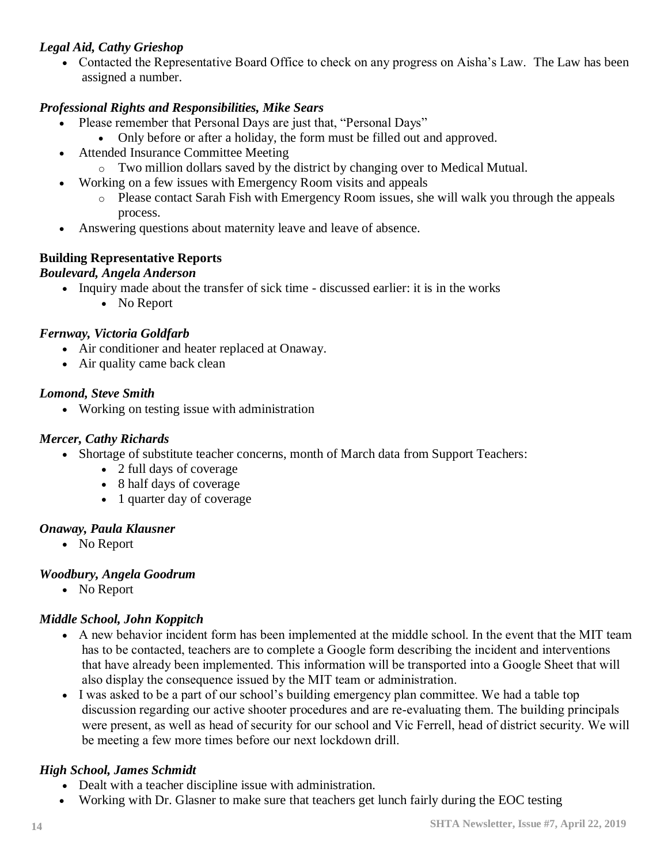#### *Legal Aid, Cathy Grieshop*

• Contacted the Representative Board Office to check on any progress on Aisha's Law. The Law has been assigned a number.

#### *Professional Rights and Responsibilities, Mike Sears*

- Please remember that Personal Days are just that, "Personal Days"
	- Only before or after a holiday, the form must be filled out and approved.
- Attended Insurance Committee Meeting
	- o Two million dollars saved by the district by changing over to Medical Mutual.
- Working on a few issues with Emergency Room visits and appeals
	- o Please contact Sarah Fish with Emergency Room issues, she will walk you through the appeals process.
- Answering questions about maternity leave and leave of absence.

#### **Building Representative Reports**

#### *Boulevard, Angela Anderson*

- Inquiry made about the transfer of sick time discussed earlier: it is in the works
	- No Report

#### *Fernway, Victoria Goldfarb*

- Air conditioner and heater replaced at Onaway.
- Air quality came back clean

#### *Lomond, Steve Smith*

• Working on testing issue with administration

#### *Mercer, Cathy Richards*

- Shortage of substitute teacher concerns, month of March data from Support Teachers:
	- 2 full days of coverage
	- 8 half days of coverage
	- 1 quarter day of coverage

#### *Onaway, Paula Klausner*

• No Report

#### *Woodbury, Angela Goodrum*

• No Report

#### *Middle School, John Koppitch*

- A new behavior incident form has been implemented at the middle school. In the event that the MIT team has to be contacted, teachers are to complete a Google form describing the incident and interventions that have already been implemented. This information will be transported into a Google Sheet that will also display the consequence issued by the MIT team or administration.
- I was asked to be a part of our school's building emergency plan committee. We had a table top discussion regarding our active shooter procedures and are re-evaluating them. The building principals were present, as well as head of security for our school and Vic Ferrell, head of district security. We will be meeting a few more times before our next lockdown drill.

#### *High School, James Schmidt*

- Dealt with a teacher discipline issue with administration.
- Working with Dr. Glasner to make sure that teachers get lunch fairly during the EOC testing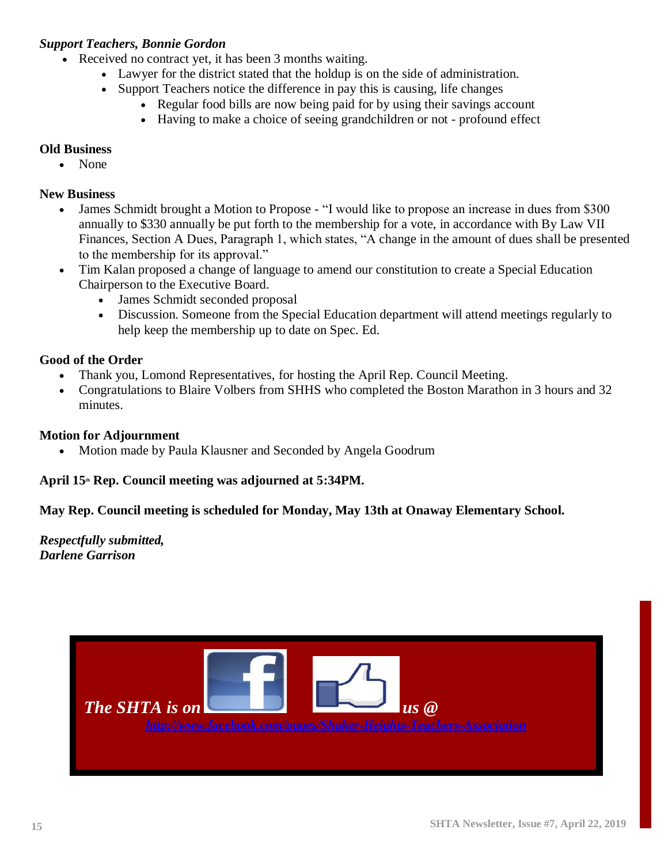#### *Support Teachers, Bonnie Gordon*

- Received no contract yet, it has been 3 months waiting.
	- Lawyer for the district stated that the holdup is on the side of administration.
	- Support Teachers notice the difference in pay this is causing, life changes
		- Regular food bills are now being paid for by using their savings account
			- Having to make a choice of seeing grandchildren or not profound effect

#### **Old Business**

• None

#### **New Business**

- James Schmidt brought a Motion to Propose "I would like to propose an increase in dues from \$300 annually to \$330 annually be put forth to the membership for a vote, in accordance with By Law VII Finances, Section A Dues, Paragraph 1, which states, "A change in the amount of dues shall be presented to the membership for its approval."
- Tim Kalan proposed a change of language to amend our constitution to create a Special Education Chairperson to the Executive Board.
	- James Schmidt seconded proposal
	- Discussion. Someone from the Special Education department will attend meetings regularly to help keep the membership up to date on Spec. Ed.

#### **Good of the Order**

- Thank you, Lomond Representatives, for hosting the April Rep. Council Meeting.
- Congratulations to Blaire Volbers from SHHS who completed the Boston Marathon in 3 hours and 32 minutes.

#### **Motion for Adjournment**

• Motion made by Paula Klausner and Seconded by Angela Goodrum

#### **April 15th Rep. Council meeting was adjourned at 5:34PM.**

#### **May Rep. Council meeting is scheduled for Monday, May 13th at Onaway Elementary School.**

*Respectfully submitted, Darlene Garrison*

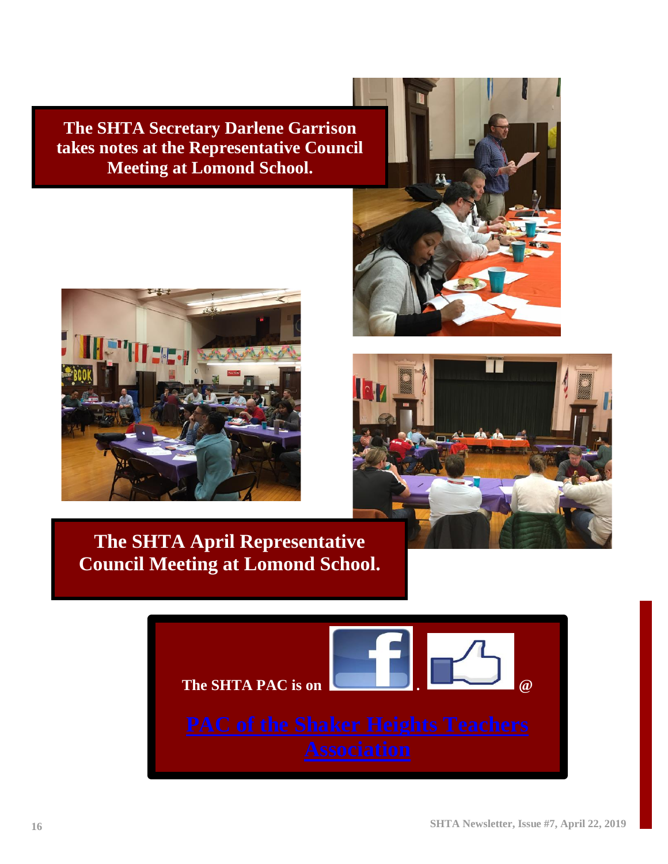**The SHTA Secretary Darlene Garrison takes notes at the Representative Council Meeting at Lomond School.**







**The SHTA April Representative Council Meeting at Lomond School.**